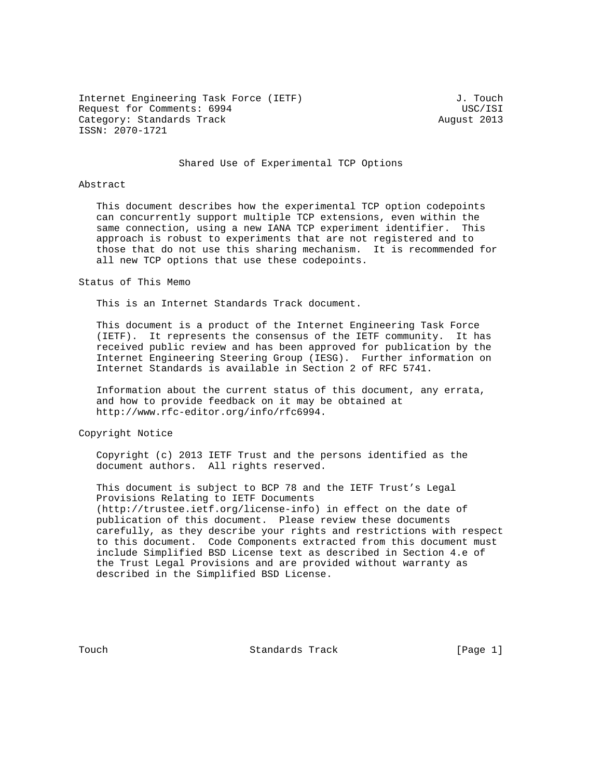Internet Engineering Task Force (IETF) 3. Touch Request for Comments: 6994 USC/ISI Category: Standards Track August 2013 ISSN: 2070-1721

#### Shared Use of Experimental TCP Options

## Abstract

 This document describes how the experimental TCP option codepoints can concurrently support multiple TCP extensions, even within the same connection, using a new IANA TCP experiment identifier. This approach is robust to experiments that are not registered and to those that do not use this sharing mechanism. It is recommended for all new TCP options that use these codepoints.

#### Status of This Memo

This is an Internet Standards Track document.

 This document is a product of the Internet Engineering Task Force (IETF). It represents the consensus of the IETF community. It has received public review and has been approved for publication by the Internet Engineering Steering Group (IESG). Further information on Internet Standards is available in Section 2 of RFC 5741.

 Information about the current status of this document, any errata, and how to provide feedback on it may be obtained at http://www.rfc-editor.org/info/rfc6994.

Copyright Notice

 Copyright (c) 2013 IETF Trust and the persons identified as the document authors. All rights reserved.

 This document is subject to BCP 78 and the IETF Trust's Legal Provisions Relating to IETF Documents (http://trustee.ietf.org/license-info) in effect on the date of publication of this document. Please review these documents carefully, as they describe your rights and restrictions with respect to this document. Code Components extracted from this document must include Simplified BSD License text as described in Section 4.e of the Trust Legal Provisions and are provided without warranty as described in the Simplified BSD License.

Touch **Standards Track** [Page 1]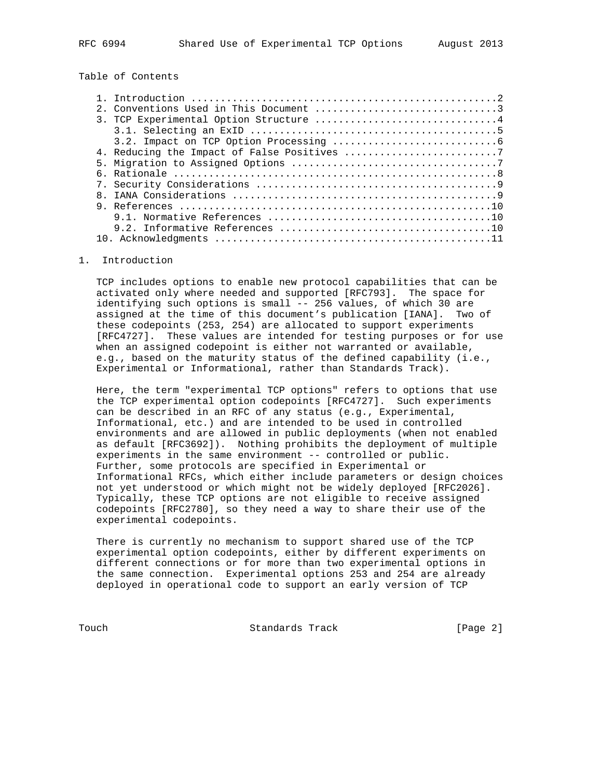# Table of Contents

|  | 2. Conventions Used in This Document 3 |
|--|----------------------------------------|
|  | 3. TCP Experimental Option Structure 4 |
|  |                                        |
|  |                                        |
|  |                                        |
|  |                                        |
|  |                                        |
|  |                                        |
|  |                                        |
|  |                                        |
|  |                                        |
|  |                                        |
|  |                                        |

## 1. Introduction

 TCP includes options to enable new protocol capabilities that can be activated only where needed and supported [RFC793]. The space for identifying such options is small -- 256 values, of which 30 are assigned at the time of this document's publication [IANA]. Two of these codepoints (253, 254) are allocated to support experiments [RFC4727]. These values are intended for testing purposes or for use when an assigned codepoint is either not warranted or available, e.g., based on the maturity status of the defined capability (i.e., Experimental or Informational, rather than Standards Track).

 Here, the term "experimental TCP options" refers to options that use the TCP experimental option codepoints [RFC4727]. Such experiments can be described in an RFC of any status (e.g., Experimental, Informational, etc.) and are intended to be used in controlled environments and are allowed in public deployments (when not enabled as default [RFC3692]). Nothing prohibits the deployment of multiple experiments in the same environment -- controlled or public. Further, some protocols are specified in Experimental or Informational RFCs, which either include parameters or design choices not yet understood or which might not be widely deployed [RFC2026]. Typically, these TCP options are not eligible to receive assigned codepoints [RFC2780], so they need a way to share their use of the experimental codepoints.

 There is currently no mechanism to support shared use of the TCP experimental option codepoints, either by different experiments on different connections or for more than two experimental options in the same connection. Experimental options 253 and 254 are already deployed in operational code to support an early version of TCP

Touch **Standards Track** [Page 2]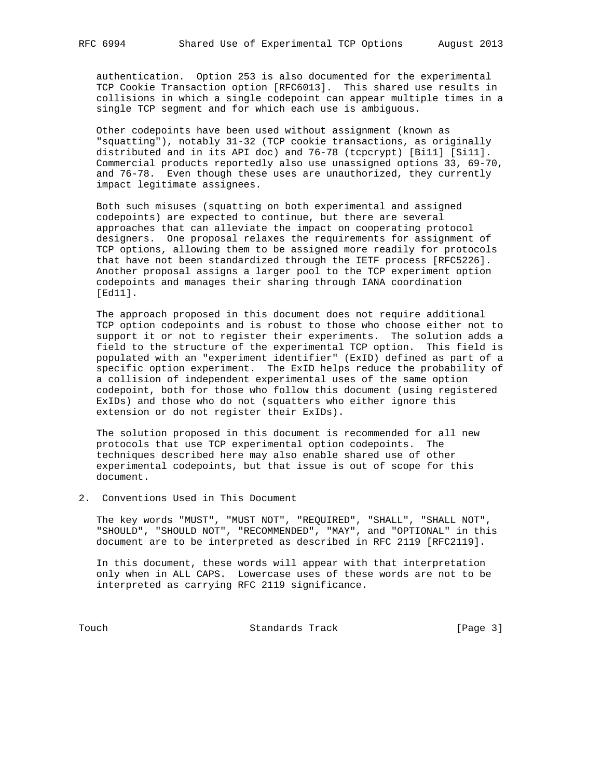authentication. Option 253 is also documented for the experimental TCP Cookie Transaction option [RFC6013]. This shared use results in collisions in which a single codepoint can appear multiple times in a single TCP segment and for which each use is ambiguous.

 Other codepoints have been used without assignment (known as "squatting"), notably 31-32 (TCP cookie transactions, as originally distributed and in its API doc) and 76-78 (tcpcrypt) [Bi11] [Si11]. Commercial products reportedly also use unassigned options 33, 69-70, and 76-78. Even though these uses are unauthorized, they currently impact legitimate assignees.

 Both such misuses (squatting on both experimental and assigned codepoints) are expected to continue, but there are several approaches that can alleviate the impact on cooperating protocol designers. One proposal relaxes the requirements for assignment of TCP options, allowing them to be assigned more readily for protocols that have not been standardized through the IETF process [RFC5226]. Another proposal assigns a larger pool to the TCP experiment option codepoints and manages their sharing through IANA coordination [Ed11].

 The approach proposed in this document does not require additional TCP option codepoints and is robust to those who choose either not to support it or not to register their experiments. The solution adds a field to the structure of the experimental TCP option. This field is populated with an "experiment identifier" (ExID) defined as part of a specific option experiment. The ExID helps reduce the probability of a collision of independent experimental uses of the same option codepoint, both for those who follow this document (using registered ExIDs) and those who do not (squatters who either ignore this extension or do not register their ExIDs).

 The solution proposed in this document is recommended for all new protocols that use TCP experimental option codepoints. The techniques described here may also enable shared use of other experimental codepoints, but that issue is out of scope for this document.

2. Conventions Used in This Document

 The key words "MUST", "MUST NOT", "REQUIRED", "SHALL", "SHALL NOT", "SHOULD", "SHOULD NOT", "RECOMMENDED", "MAY", and "OPTIONAL" in this document are to be interpreted as described in RFC 2119 [RFC2119].

 In this document, these words will appear with that interpretation only when in ALL CAPS. Lowercase uses of these words are not to be interpreted as carrying RFC 2119 significance.

Touch **Standards Track** [Page 3]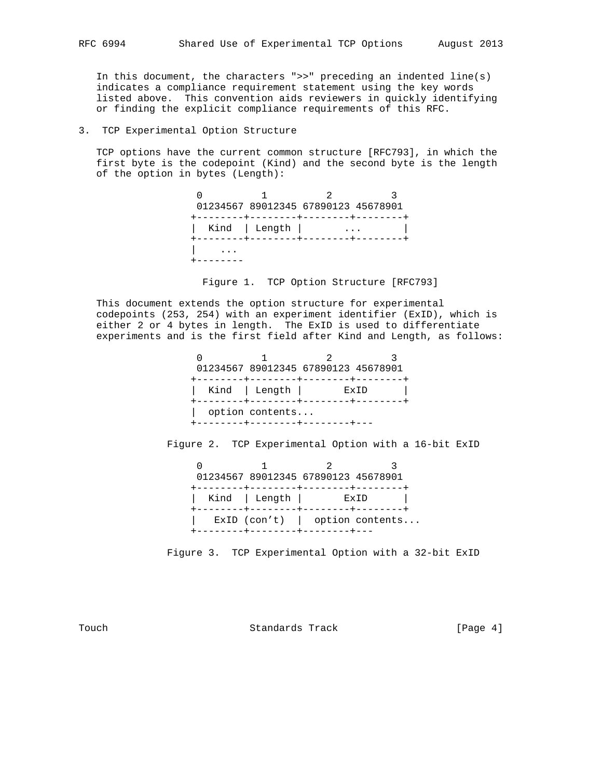In this document, the characters " $>>$ " preceding an indented line(s) indicates a compliance requirement statement using the key words listed above. This convention aids reviewers in quickly identifying or finding the explicit compliance requirements of this RFC.

### 3. TCP Experimental Option Structure

 TCP options have the current common structure [RFC793], in which the first byte is the codepoint (Kind) and the second byte is the length of the option in bytes (Length):

> 0 1 2 3 01234567 89012345 67890123 45678901 +--------+--------+--------+--------+ | Kind | Length | ... | +--------+--------+--------+--------+ | ... +--------

Figure 1. TCP Option Structure [RFC793]

 This document extends the option structure for experimental codepoints (253, 254) with an experiment identifier (ExID), which is either 2 or 4 bytes in length. The ExID is used to differentiate experiments and is the first field after Kind and Length, as follows:

|                 | 01234567 89012345 67890123 45678901 |      |
|-----------------|-------------------------------------|------|
|                 | Kind   Length                       | ExTD |
| option contents |                                     |      |

Figure 2. TCP Experimental Option with a 16-bit ExID

|  | 01234567 89012345 67890123 45678901                 |             |                                  |
|--|-----------------------------------------------------|-------------|----------------------------------|
|  | Kind   Length  <br>+--------+--------+-------+----+ | <b>ExTD</b> |                                  |
|  |                                                     |             | $ExID (con't)$   option contents |

Figure 3. TCP Experimental Option with a 32-bit ExID

Touch **Standards Track** [Page 4]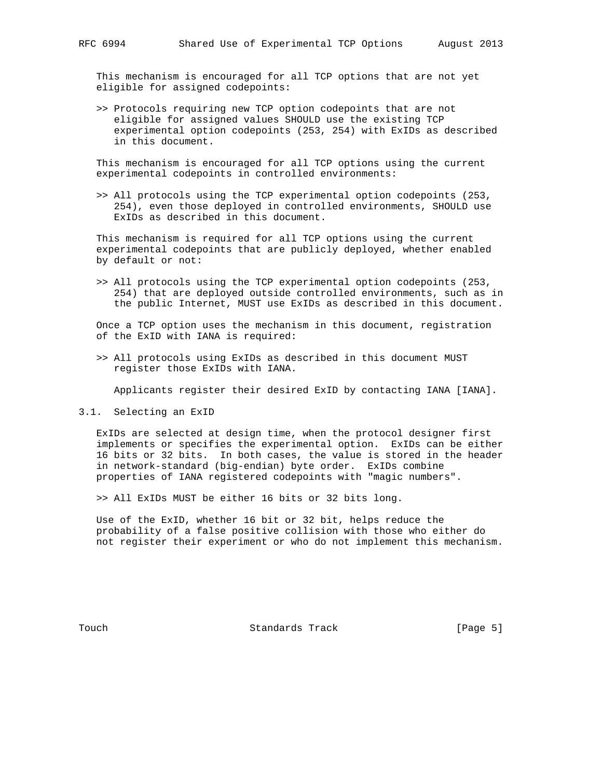This mechanism is encouraged for all TCP options that are not yet eligible for assigned codepoints:

 >> Protocols requiring new TCP option codepoints that are not eligible for assigned values SHOULD use the existing TCP experimental option codepoints (253, 254) with ExIDs as described in this document.

 This mechanism is encouraged for all TCP options using the current experimental codepoints in controlled environments:

 >> All protocols using the TCP experimental option codepoints (253, 254), even those deployed in controlled environments, SHOULD use ExIDs as described in this document.

 This mechanism is required for all TCP options using the current experimental codepoints that are publicly deployed, whether enabled by default or not:

 >> All protocols using the TCP experimental option codepoints (253, 254) that are deployed outside controlled environments, such as in the public Internet, MUST use ExIDs as described in this document.

 Once a TCP option uses the mechanism in this document, registration of the ExID with IANA is required:

 >> All protocols using ExIDs as described in this document MUST register those ExIDs with IANA.

Applicants register their desired ExID by contacting IANA [IANA].

3.1. Selecting an ExID

 ExIDs are selected at design time, when the protocol designer first implements or specifies the experimental option. ExIDs can be either 16 bits or 32 bits. In both cases, the value is stored in the header in network-standard (big-endian) byte order. ExIDs combine properties of IANA registered codepoints with "magic numbers".

>> All ExIDs MUST be either 16 bits or 32 bits long.

 Use of the ExID, whether 16 bit or 32 bit, helps reduce the probability of a false positive collision with those who either do not register their experiment or who do not implement this mechanism.

Touch **Standards Track** [Page 5]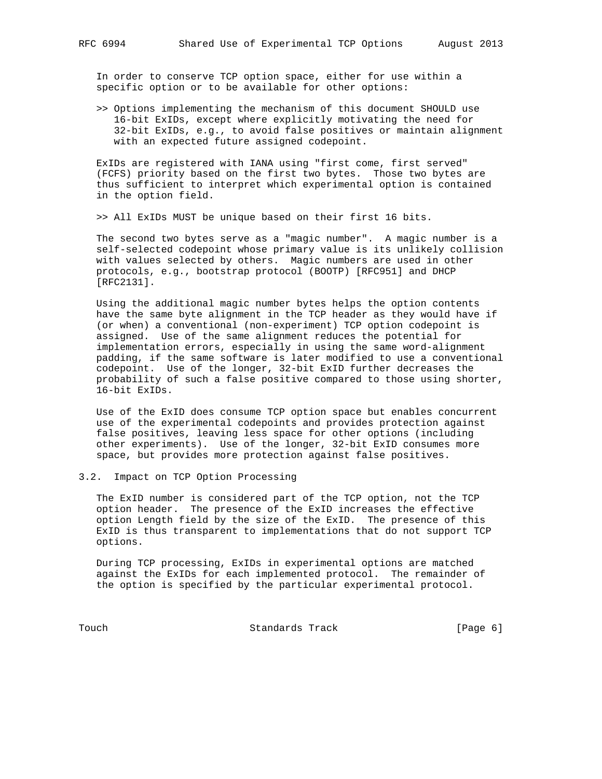In order to conserve TCP option space, either for use within a specific option or to be available for other options:

 >> Options implementing the mechanism of this document SHOULD use 16-bit ExIDs, except where explicitly motivating the need for 32-bit ExIDs, e.g., to avoid false positives or maintain alignment with an expected future assigned codepoint.

 ExIDs are registered with IANA using "first come, first served" (FCFS) priority based on the first two bytes. Those two bytes are thus sufficient to interpret which experimental option is contained in the option field.

>> All ExIDs MUST be unique based on their first 16 bits.

 The second two bytes serve as a "magic number". A magic number is a self-selected codepoint whose primary value is its unlikely collision with values selected by others. Magic numbers are used in other protocols, e.g., bootstrap protocol (BOOTP) [RFC951] and DHCP [RFC2131].

 Using the additional magic number bytes helps the option contents have the same byte alignment in the TCP header as they would have if (or when) a conventional (non-experiment) TCP option codepoint is assigned. Use of the same alignment reduces the potential for implementation errors, especially in using the same word-alignment padding, if the same software is later modified to use a conventional codepoint. Use of the longer, 32-bit ExID further decreases the probability of such a false positive compared to those using shorter, 16-bit ExIDs.

 Use of the ExID does consume TCP option space but enables concurrent use of the experimental codepoints and provides protection against false positives, leaving less space for other options (including other experiments). Use of the longer, 32-bit ExID consumes more space, but provides more protection against false positives.

#### 3.2. Impact on TCP Option Processing

 The ExID number is considered part of the TCP option, not the TCP option header. The presence of the ExID increases the effective option Length field by the size of the ExID. The presence of this ExID is thus transparent to implementations that do not support TCP options.

 During TCP processing, ExIDs in experimental options are matched against the ExIDs for each implemented protocol. The remainder of the option is specified by the particular experimental protocol.

Touch **Standards Track** [Page 6]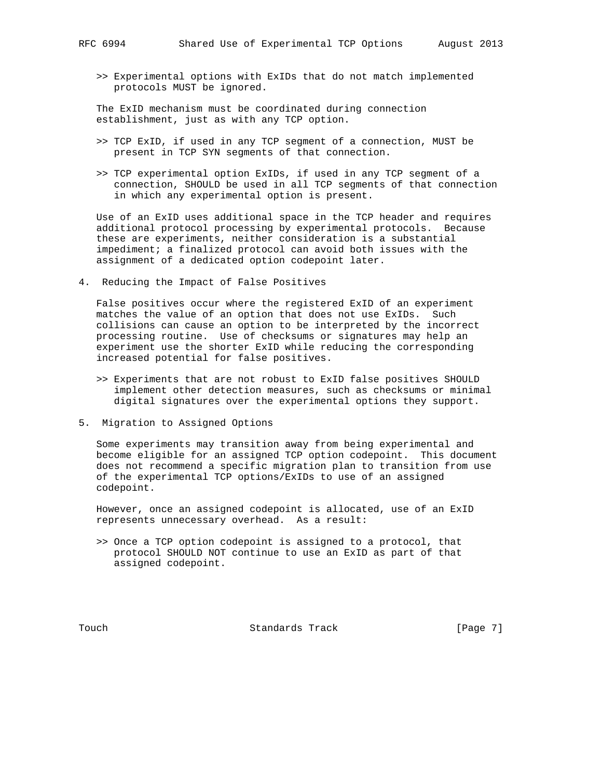>> Experimental options with ExIDs that do not match implemented protocols MUST be ignored.

 The ExID mechanism must be coordinated during connection establishment, just as with any TCP option.

- >> TCP ExID, if used in any TCP segment of a connection, MUST be present in TCP SYN segments of that connection.
- >> TCP experimental option ExIDs, if used in any TCP segment of a connection, SHOULD be used in all TCP segments of that connection in which any experimental option is present.

 Use of an ExID uses additional space in the TCP header and requires additional protocol processing by experimental protocols. Because these are experiments, neither consideration is a substantial impediment; a finalized protocol can avoid both issues with the assignment of a dedicated option codepoint later.

4. Reducing the Impact of False Positives

 False positives occur where the registered ExID of an experiment matches the value of an option that does not use ExIDs. Such collisions can cause an option to be interpreted by the incorrect processing routine. Use of checksums or signatures may help an experiment use the shorter ExID while reducing the corresponding increased potential for false positives.

- >> Experiments that are not robust to ExID false positives SHOULD implement other detection measures, such as checksums or minimal digital signatures over the experimental options they support.
- 5. Migration to Assigned Options

 Some experiments may transition away from being experimental and become eligible for an assigned TCP option codepoint. This document does not recommend a specific migration plan to transition from use of the experimental TCP options/ExIDs to use of an assigned codepoint.

 However, once an assigned codepoint is allocated, use of an ExID represents unnecessary overhead. As a result:

 >> Once a TCP option codepoint is assigned to a protocol, that protocol SHOULD NOT continue to use an ExID as part of that assigned codepoint.

Touch **Standards Track** [Page 7]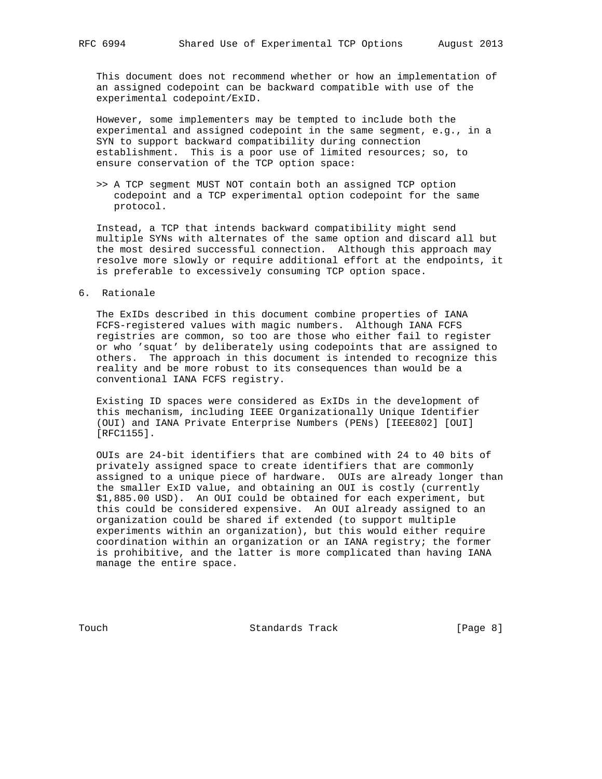This document does not recommend whether or how an implementation of an assigned codepoint can be backward compatible with use of the experimental codepoint/ExID.

 However, some implementers may be tempted to include both the experimental and assigned codepoint in the same segment, e.g., in a SYN to support backward compatibility during connection establishment. This is a poor use of limited resources; so, to ensure conservation of the TCP option space:

 >> A TCP segment MUST NOT contain both an assigned TCP option codepoint and a TCP experimental option codepoint for the same protocol.

 Instead, a TCP that intends backward compatibility might send multiple SYNs with alternates of the same option and discard all but the most desired successful connection. Although this approach may resolve more slowly or require additional effort at the endpoints, it is preferable to excessively consuming TCP option space.

# 6. Rationale

 The ExIDs described in this document combine properties of IANA FCFS-registered values with magic numbers. Although IANA FCFS registries are common, so too are those who either fail to register or who 'squat' by deliberately using codepoints that are assigned to others. The approach in this document is intended to recognize this reality and be more robust to its consequences than would be a conventional IANA FCFS registry.

 Existing ID spaces were considered as ExIDs in the development of this mechanism, including IEEE Organizationally Unique Identifier (OUI) and IANA Private Enterprise Numbers (PENs) [IEEE802] [OUI] [RFC1155].

 OUIs are 24-bit identifiers that are combined with 24 to 40 bits of privately assigned space to create identifiers that are commonly assigned to a unique piece of hardware. OUIs are already longer than the smaller ExID value, and obtaining an OUI is costly (currently \$1,885.00 USD). An OUI could be obtained for each experiment, but this could be considered expensive. An OUI already assigned to an organization could be shared if extended (to support multiple experiments within an organization), but this would either require coordination within an organization or an IANA registry; the former is prohibitive, and the latter is more complicated than having IANA manage the entire space.

Touch **Standards Track** [Page 8]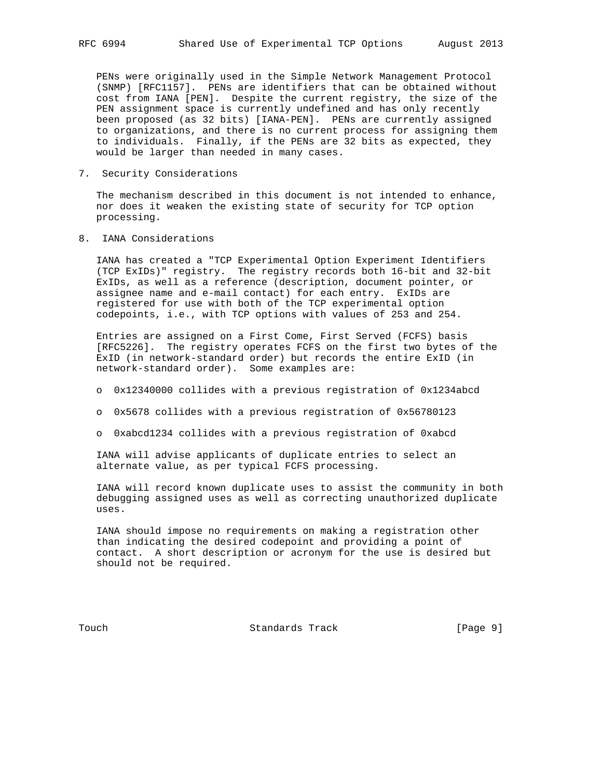PENs were originally used in the Simple Network Management Protocol (SNMP) [RFC1157]. PENs are identifiers that can be obtained without cost from IANA [PEN]. Despite the current registry, the size of the PEN assignment space is currently undefined and has only recently been proposed (as 32 bits) [IANA-PEN]. PENs are currently assigned to organizations, and there is no current process for assigning them to individuals. Finally, if the PENs are 32 bits as expected, they would be larger than needed in many cases.

7. Security Considerations

 The mechanism described in this document is not intended to enhance, nor does it weaken the existing state of security for TCP option processing.

8. IANA Considerations

 IANA has created a "TCP Experimental Option Experiment Identifiers (TCP ExIDs)" registry. The registry records both 16-bit and 32-bit ExIDs, as well as a reference (description, document pointer, or assignee name and e-mail contact) for each entry. ExIDs are registered for use with both of the TCP experimental option codepoints, i.e., with TCP options with values of 253 and 254.

 Entries are assigned on a First Come, First Served (FCFS) basis [RFC5226]. The registry operates FCFS on the first two bytes of the ExID (in network-standard order) but records the entire ExID (in network-standard order). Some examples are:

- o 0x12340000 collides with a previous registration of 0x1234abcd
- o 0x5678 collides with a previous registration of 0x56780123
- o 0xabcd1234 collides with a previous registration of 0xabcd

 IANA will advise applicants of duplicate entries to select an alternate value, as per typical FCFS processing.

 IANA will record known duplicate uses to assist the community in both debugging assigned uses as well as correcting unauthorized duplicate uses.

 IANA should impose no requirements on making a registration other than indicating the desired codepoint and providing a point of contact. A short description or acronym for the use is desired but should not be required.

Touch **Standards Track** [Page 9]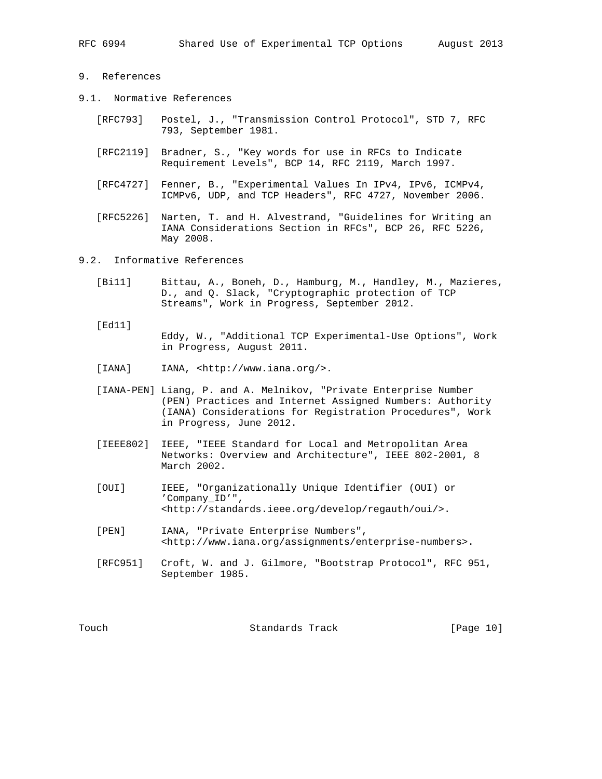## 9. References

- 9.1. Normative References
	- [RFC793] Postel, J., "Transmission Control Protocol", STD 7, RFC 793, September 1981.
	- [RFC2119] Bradner, S., "Key words for use in RFCs to Indicate Requirement Levels", BCP 14, RFC 2119, March 1997.
	- [RFC4727] Fenner, B., "Experimental Values In IPv4, IPv6, ICMPv4, ICMPv6, UDP, and TCP Headers", RFC 4727, November 2006.
	- [RFC5226] Narten, T. and H. Alvestrand, "Guidelines for Writing an IANA Considerations Section in RFCs", BCP 26, RFC 5226, May 2008.
- 9.2. Informative References
	- [Bi11] Bittau, A., Boneh, D., Hamburg, M., Handley, M., Mazieres, D., and Q. Slack, "Cryptographic protection of TCP Streams", Work in Progress, September 2012.
	- [Ed11] Eddy, W., "Additional TCP Experimental-Use Options", Work in Progress, August 2011.
	- [IANA] IANA, <http://www.iana.org/>.
	- [IANA-PEN] Liang, P. and A. Melnikov, "Private Enterprise Number (PEN) Practices and Internet Assigned Numbers: Authority (IANA) Considerations for Registration Procedures", Work in Progress, June 2012.
	- [IEEE802] IEEE, "IEEE Standard for Local and Metropolitan Area Networks: Overview and Architecture", IEEE 802-2001, 8 March 2002.
	- [OUI] IEEE, "Organizationally Unique Identifier (OUI) or 'Company\_ID'", <http://standards.ieee.org/develop/regauth/oui/>.
	- [PEN] IANA, "Private Enterprise Numbers", <http://www.iana.org/assignments/enterprise-numbers>.
	- [RFC951] Croft, W. and J. Gilmore, "Bootstrap Protocol", RFC 951, September 1985.

Touch Standards Track [Page 10]